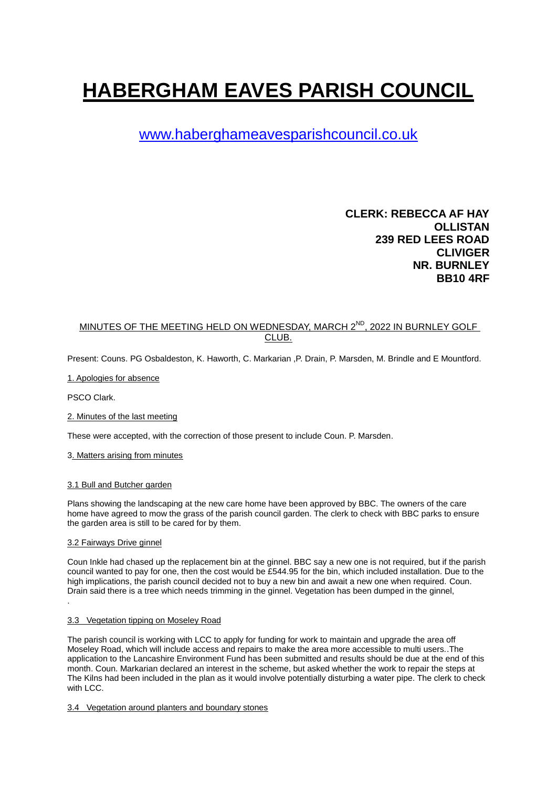# **HABERGHAM EAVES PARISH COUNCIL**

# [www.haberghameavesparishcouncil.co.uk](http://www.haberghameavesparishcouncil.co.uk/)

## **CLERK: REBECCA AF HAY OLLISTAN 239 RED LEES ROAD CLIVIGER NR. BURNLEY BB10 4RF**

### MINUTES OF THE MEETING HELD ON WEDNESDAY, MARCH 2<sup>ND</sup>, 2022 IN BURNLEY GOLF CLUB.

Present: Couns. PG Osbaldeston, K. Haworth, C. Markarian ,P. Drain, P. Marsden, M. Brindle and E Mountford.

1. Apologies for absence

PSCO Clark.

2. Minutes of the last meeting

These were accepted, with the correction of those present to include Coun. P. Marsden.

#### 3. Matters arising from minutes

#### 3.1 Bull and Butcher garden

Plans showing the landscaping at the new care home have been approved by BBC. The owners of the care home have agreed to mow the grass of the parish council garden. The clerk to check with BBC parks to ensure the garden area is still to be cared for by them.

#### 3.2 Fairways Drive ginnel

Coun Inkle had chased up the replacement bin at the ginnel. BBC say a new one is not required, but if the parish council wanted to pay for one, then the cost would be £544.95 for the bin, which included installation. Due to the high implications, the parish council decided not to buy a new bin and await a new one when required. Coun. Drain said there is a tree which needs trimming in the ginnel. Vegetation has been dumped in the ginnel, .

#### 3.3 Vegetation tipping on Moseley Road

The parish council is working with LCC to apply for funding for work to maintain and upgrade the area off Moseley Road, which will include access and repairs to make the area more accessible to multi users..The application to the Lancashire Environment Fund has been submitted and results should be due at the end of this month. Coun. Markarian declared an interest in the scheme, but asked whether the work to repair the steps at The Kilns had been included in the plan as it would involve potentially disturbing a water pipe. The clerk to check with LCC.

3.4 Vegetation around planters and boundary stones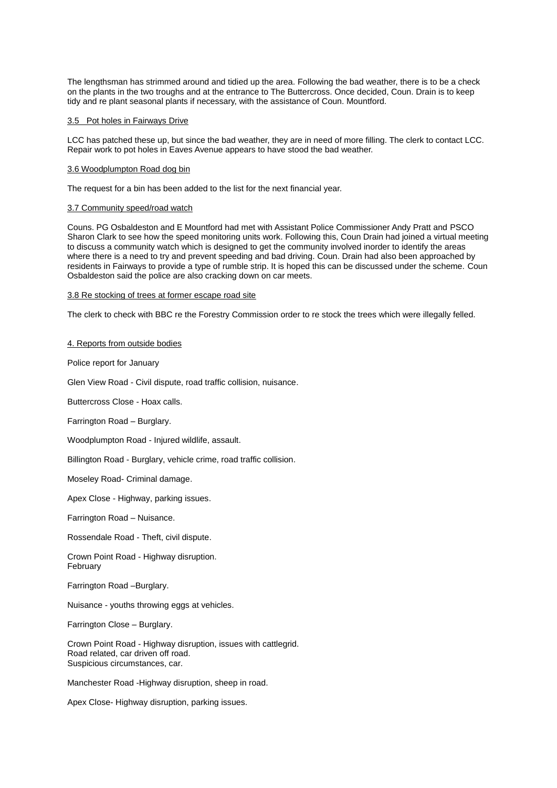The lengthsman has strimmed around and tidied up the area. Following the bad weather, there is to be a check on the plants in the two troughs and at the entrance to The Buttercross. Once decided, Coun. Drain is to keep tidy and re plant seasonal plants if necessary, with the assistance of Coun. Mountford.

#### 3.5 Pot holes in Fairways Drive

LCC has patched these up, but since the bad weather, they are in need of more filling. The clerk to contact LCC. Repair work to pot holes in Eaves Avenue appears to have stood the bad weather.

#### 3.6 Woodplumpton Road dog bin

The request for a bin has been added to the list for the next financial year.

#### 3.7 Community speed/road watch

Couns. PG Osbaldeston and E Mountford had met with Assistant Police Commissioner Andy Pratt and PSCO Sharon Clark to see how the speed monitoring units work. Following this, Coun Drain had joined a virtual meeting to discuss a community watch which is designed to get the community involved inorder to identify the areas where there is a need to try and prevent speeding and bad driving. Coun. Drain had also been approached by residents in Fairways to provide a type of rumble strip. It is hoped this can be discussed under the scheme. Coun Osbaldeston said the police are also cracking down on car meets.

#### 3.8 Re stocking of trees at former escape road site

The clerk to check with BBC re the Forestry Commission order to re stock the trees which were illegally felled.

#### 4. Reports from outside bodies

Police report for January

Glen View Road - Civil dispute, road traffic collision, nuisance.

Buttercross Close - Hoax calls.

Farrington Road – Burglary.

Woodplumpton Road - Injured wildlife, assault.

Billington Road - Burglary, vehicle crime, road traffic collision.

Moseley Road- Criminal damage.

Apex Close - Highway, parking issues.

Farrington Road – Nuisance.

Rossendale Road - Theft, civil dispute.

Crown Point Road - Highway disruption. February

Farrington Road –Burglary.

Nuisance - youths throwing eggs at vehicles.

Farrington Close – Burglary.

Crown Point Road - Highway disruption, issues with cattlegrid. Road related, car driven off road. Suspicious circumstances, car.

Manchester Road -Highway disruption, sheep in road.

Apex Close- Highway disruption, parking issues.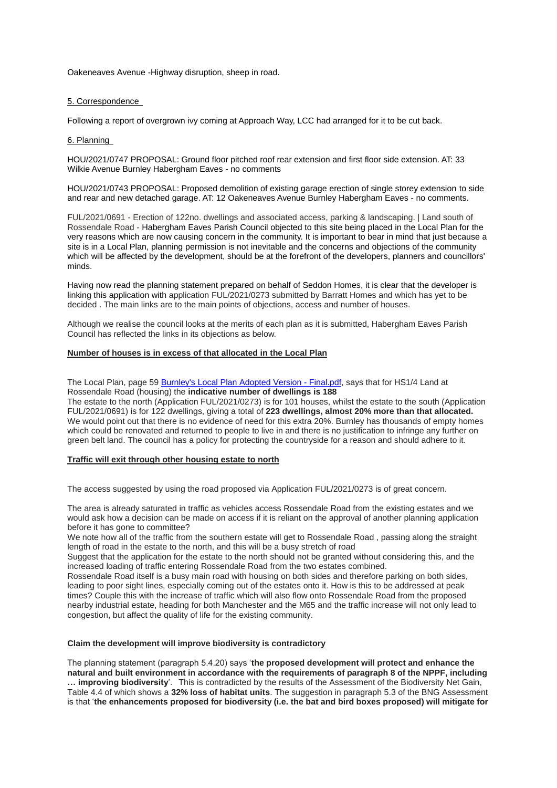Oakeneaves Avenue -Highway disruption, sheep in road.

#### 5. Correspondence

Following a report of overgrown ivy coming at Approach Way, LCC had arranged for it to be cut back.

#### 6. Planning

HOU/2021/0747 PROPOSAL: Ground floor pitched roof rear extension and first floor side extension. AT: 33 Wilkie Avenue Burnley Habergham Eaves - no comments

HOU/2021/0743 PROPOSAL: Proposed demolition of existing garage erection of single storey extension to side and rear and new detached garage. AT: 12 Oakeneaves Avenue Burnley Habergham Eaves - no comments.

FUL/2021/0691 - Erection of 122no. dwellings and associated access, parking & landscaping. | Land south of Rossendale Road - Habergham Eaves Parish Council objected to this site being placed in the Local Plan for the very reasons which are now causing concern in the community. It is important to bear in mind that just because a site is in a Local Plan, planning permission is not inevitable and the concerns and objections of the community which will be affected by the development, should be at the forefront of the developers, planners and councillors' minds.

Having now read the planning statement prepared on behalf of Seddon Homes, it is clear that the developer is linking this application with application FUL/2021/0273 submitted by Barratt Homes and which has yet to be decided . The main links are to the main points of objections, access and number of houses.

Although we realise the council looks at the merits of each plan as it is submitted, Habergham Eaves Parish Council has reflected the links in its objections as below.

#### **Number of houses is in excess of that allocated in the Local Plan**

The Local Plan, page 59 **[Burnley's](https://www.burnley.gov.uk/sites/default/files/Burnley%27s%20Local%20Plan%20Adopted%20Version%20-%20Final.pdf) Local Plan Adopted Version - Final.pdf**, says that for HS1/4 Land at Rossendale Road (housing) the **indicative number of dwellings is 188**

The estate to the north (Application FUL/2021/0273) is for 101 houses, whilst the estate to the south (Application FUL/2021/0691) is for 122 dwellings, giving a total of **223 dwellings, almost 20% more than that allocated.** We would point out that there is no evidence of need for this extra 20%. Burnley has thousands of empty homes which could be renovated and returned to people to live in and there is no justification to infringe any further on green belt land. The council has a policy for protecting the countryside for a reason and should adhere to it.

#### **Traffic will exit through other housing estate to north**

The access suggested by using the road proposed via Application FUL/2021/0273 is of great concern.

The area is already saturated in traffic as vehicles access Rossendale Road from the existing estates and we would ask how a decision can be made on access if it is reliant on the approval of another planning application before it has gone to committee?

We note how all of the traffic from the southern estate will get to Rossendale Road, passing along the straight length of road in the estate to the north, and this will be a busy stretch of road

Suggest that the application for the estate to the north should not be granted without considering this, and the increased loading of traffic entering Rossendale Road from the two estates combined.

Rossendale Road itself is a busy main road with housing on both sides and therefore parking on both sides, leading to poor sight lines, especially coming out of the estates onto it. How is this to be addressed at peak times? Couple this with the increase of traffic which will also flow onto Rossendale Road from the proposed nearby industrial estate, heading for both Manchester and the M65 and the traffic increase will not only lead to congestion, but affect the quality of life for the existing community.

#### **Claim the development will improve biodiversity is contradictory**

The planning statement (paragraph 5.4.20) says '**the proposed development will protect and enhance the natural and built environment in accordance with the requirements of paragraph 8 of the NPPF, including … improving biodiversity**'. This is contradicted by the results of the Assessment of the Biodiversity Net Gain, Table 4.4 of which shows a **32% loss of habitat units**. The suggestion in paragraph 5.3 of the BNG Assessment is that '**the enhancements proposed for biodiversity (i.e. the bat and bird boxes proposed) will mitigate for**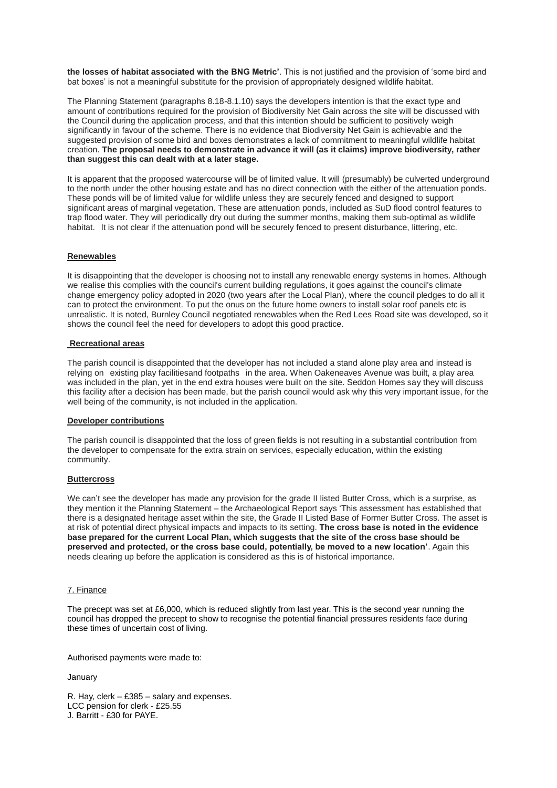**the losses of habitat associated with the BNG Metric'**. This is not justified and the provision of 'some bird and bat boxes' is not a meaningful substitute for the provision of appropriately designed wildlife habitat.

The Planning Statement (paragraphs 8.18-8.1.10) says the developers intention is that the exact type and amount of contributions required for the provision of Biodiversity Net Gain across the site will be discussed with the Council during the application process, and that this intention should be sufficient to positively weigh significantly in favour of the scheme. There is no evidence that Biodiversity Net Gain is achievable and the suggested provision of some bird and boxes demonstrates a lack of commitment to meaningful wildlife habitat creation. **The proposal needs to demonstrate in advance it will (as it claims) improve biodiversity, rather than suggest this can dealt with at a later stage.**

It is apparent that the proposed watercourse will be of limited value. It will (presumably) be culverted underground to the north under the other housing estate and has no direct connection with the either of the attenuation ponds. These ponds will be of limited value for wildlife unless they are securely fenced and designed to support significant areas of marginal vegetation. These are attenuation ponds, included as SuD flood control features to trap flood water. They will periodically dry out during the summer months, making them sub-optimal as wildlife habitat. It is not clear if the attenuation pond will be securely fenced to present disturbance, littering, etc.

#### **Renewables**

It is disappointing that the developer is choosing not to install any renewable energy systems in homes. Although we realise this complies with the council's current building regulations, it goes against the council's climate change emergency policy adopted in 2020 (two years after the Local Plan), where the council pledges to do all it can to protect the environment. To put the onus on the future home owners to install solar roof panels etc is unrealistic. It is noted, Burnley Council negotiated renewables when the Red Lees Road site was developed, so it shows the council feel the need for developers to adopt this good practice.

#### **Recreational areas**

The parish council is disappointed that the developer has not included a stand alone play area and instead is relying on existing play facilitiesand footpaths in the area. When Oakeneaves Avenue was built, a play area was included in the plan, yet in the end extra houses were built on the site. Seddon Homes say they will discuss this facility after a decision has been made, but the parish council would ask why this very important issue, for the well being of the community, is not included in the application.

#### **Developer contributions**

The parish council is disappointed that the loss of green fields is not resulting in a substantial contribution from the developer to compensate for the extra strain on services, especially education, within the existing community.

#### **Buttercross**

We can't see the developer has made any provision for the grade II listed Butter Cross, which is a surprise, as they mention it the Planning Statement – the Archaeological Report says 'This assessment has established that there is a designated heritage asset within the site, the Grade II Listed Base of Former Butter Cross. The asset is at risk of potential direct physical impacts and impacts to its setting. **The cross base is noted in the evidence base prepared for the current Local Plan, which suggests that the site of the cross base should be preserved and protected, or the cross base could, potentially, be moved to a new location'**. Again this needs clearing up before the application is considered as this is of historical importance.

#### 7. Finance

The precept was set at £6,000, which is reduced slightly from last year. This is the second year running the council has dropped the precept to show to recognise the potential financial pressures residents face during these times of uncertain cost of living.

Authorised payments were made to:

January

R. Hay, clerk – £385 – salary and expenses. LCC pension for clerk - £25.55 J. Barritt - £30 for PAYE.